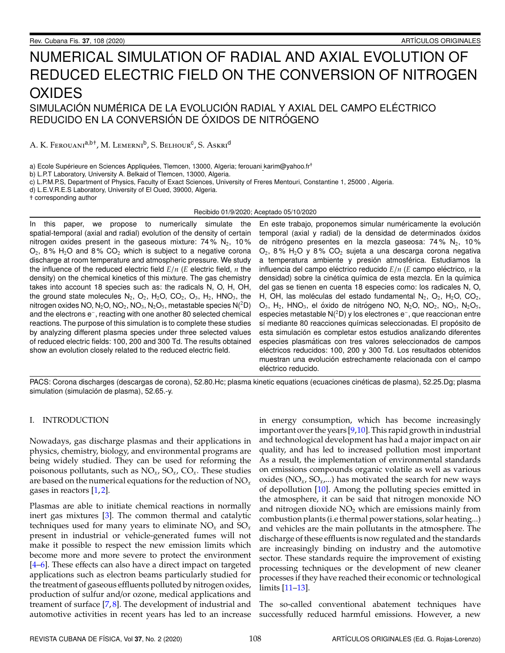## NUMERICAL SIMULATION OF RADIAL AND AXIAL EVOLUTION OF REDUCED ELECTRIC FIELD ON THE CONVERSION OF NITROGEN **OXIDES** SIMULACIÓN NUMÉRICA DE LA EVOLUCIÓN RADIAL Y AXIAL DEL CAMPO ELÉCTRICO

# REDUCIDO EN LA CONVERSIÓN DE ÓXIDOS DE NITRÓGENO

A. K. Ferouani<sup>a,b†</sup>, M. Lemerni<sup>b</sup>, S. Belhour<sup>c</sup>, S. Askri<sup>d</sup>

a) Ecole Supérieure en Sciences Appliquées, Tlemcen, 13000, Algeria; ferouani karim@yahoo.fr<sup>†</sup>

b) L.P.T Laboratory, University A. Belkaid of Tlemcen, 13000, Algeria.

c) L.P.M.P.S, Department of Physics, Faculty of Exact Sciences, University of Freres Mentouri, Constantine 1, 25000 , Algeria.

d) L.E.V.R.E.S Laboratory, University of El Oued, 39000, Algeria.

† corresponding author

#### Recibido 01/9/2020; Aceptado 05/10/2020

In this paper, we propose to numerically simulate the spatial-temporal (axial and radial) evolution of the density of certain nitrogen oxides present in the gaseous mixture:  $74\%$  N<sub>2</sub>,  $10\%$  $O_2$ , 8% H<sub>2</sub>O and 8% CO<sub>2</sub> which is subject to a negative corona discharge at room temperature and atmospheric pressure. We study the influence of the reduced electric field *E*/*n* (*E* electric field, *n* the density) on the chemical kinetics of this mixture. The gas chemistry takes into account 18 species such as: the radicals N, O, H, OH, the ground state molecules  $N_2$ ,  $O_2$ ,  $H_2O$ ,  $CO_2$ ,  $O_3$ ,  $H_2$ , HNO<sub>3</sub>, the nitrogen oxides NO,  $N_2$ O, NO<sub>2</sub>, NO<sub>3</sub>, N<sub>2</sub>O<sub>5</sub>, metastable species N(<sup>2</sup>D) and the electrons e<sup>−</sup> , reacting with one another 80 selected chemical reactions. The purpose of this simulation is to complete these studies by analyzing different plasma species under three selected values of reduced electric fields: 100, 200 and 300 Td. The results obtained show an evolution closely related to the reduced electric field.

En este trabajo, proponemos simular numéricamente la evolución temporal (axial y radial) de la densidad de determinados óxidos de nitrógeno presentes en la mezcla gaseosa:  $74\%$  N<sub>2</sub>, 10%  $O_2$ , 8% H<sub>2</sub>O y 8% CO<sub>2</sub> sujeta a una descarga corona negativa a temperatura ambiente y presión atmosférica. Estudiamos la influencia del campo eléctrico reducido  $E/n$  (*E* campo eléctrico,  $n$  la densidad) sobre la cinética química de esta mezcla. En la química del gas se tienen en cuenta 18 especies como: los radicales N, O, H, OH, las moléculas del estado fundamental  $N_2$ ,  $O_2$ ,  $H_2O$ ,  $CO_2$ ,  $O_3$ , H<sub>2</sub>, HNO<sub>3</sub>, el óxido de nitrógeno NO, N<sub>2</sub>O, NO<sub>2</sub>, NO<sub>3</sub>, N<sub>2</sub>O<sub>5</sub>, especies metastable N(<sup>2</sup>D) y los electrones e<sup>−</sup> , que reaccionan entre sí mediante 80 reacciones químicas seleccionadas. El propósito de esta simulación es completar estos estudios analizando diferentes especies plasmáticas con tres valores seleccionados de campos eléctricos reducidos: 100, 200 y 300 Td. Los resultados obtenidos muestran una evolución estrechamente relacionada con el campo eléctrico reducido.

PACS: Corona discharges (descargas de corona), 52.80.Hc; plasma kinetic equations (ecuaciones cinéticas de plasma), 52.25.Dg; plasma simulation (simulación de plasma), 52.65.-y.

#### I. INTRODUCTION

Nowadays, gas discharge plasmas and their applications in physics, chemistry, biology, and environmental programs are being widely studied. They can be used for reforming the poisonous pollutants, such as NO*x*, SO*x*, CO*x*. These studies are based on the numerical equations for the reduction of NO*<sup>x</sup>* gases in reactors [\[1,](#page-6-0) [2\]](#page-6-1).

Plasmas are able to initiate chemical reactions in normally inert gas mixtures [\[3\]](#page-6-2). The common thermal and catalytic techniques used for many years to eliminate NO*<sup>x</sup>* and SO*<sup>x</sup>* present in industrial or vehicle-generated fumes will not make it possible to respect the new emission limits which become more and more severe to protect the environment [\[4](#page-6-3)[–6\]](#page-6-4). These effects can also have a direct impact on targeted applications such as electron beams particularly studied for the treatment of gaseous effluents polluted by nitrogen oxides, production of sulfur and/or ozone, medical applications and treament of surface  $[7, 8]$  $[7, 8]$  $[7, 8]$ . The development of industrial and automotive activities in recent years has led to an increase

in energy consumption, which has become increasingly important over the years [\[9](#page-6-7)[,10\]](#page-6-8). This rapid growth in industrial and technological development has had a major impact on air quality, and has led to increased pollution most important As a result, the implementation of environmental standards on emissions compounds organic volatile as well as various oxides ( $NO_x$ ,  $SO_x$ ,...) has motivated the search for new ways of depollution [\[10\]](#page-6-8). Among the polluting species emitted in the atmosphere, it can be said that nitrogen monoxide NO and nitrogen dioxide  $NO<sub>2</sub>$  which are emissions mainly from combustion plants (i.e thermal power stations, solar heating...) and vehicles are the main pollutants in the atmosphere. The discharge of these effluents is now regulated and the standards are increasingly binding on industry and the automotive sector. These standards require the improvement of existing processing techniques or the development of new cleaner processes if they have reached their economic or technological limits [\[11](#page-6-9)[–13\]](#page-6-10).

The so-called conventional abatement techniques have successfully reduced harmful emissions. However, a new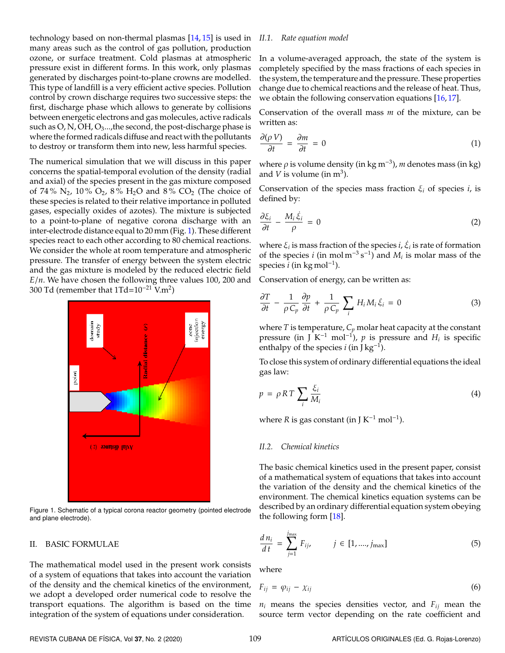technology based on non-thermal plasmas [\[14,](#page-6-11) [15\]](#page-6-12) is used in *II.1. Rate equation model* many areas such as the control of gas pollution, production ozone, or surface treatment. Cold plasmas at atmospheric pressure exist in different forms. In this work, only plasmas generated by discharges point-to-plane crowns are modelled. This type of landfill is a very efficient active species. Pollution control by crown discharge requires two successive steps: the first, discharge phase which allows to generate by collisions between energetic electrons and gas molecules, active radicals such as  $O$ , N,  $OH$ ,  $O_3$ ..., the second, the post-discharge phase is where the formed radicals diffuse and react with the pollutants to destroy or transform them into new, less harmful species.

The numerical simulation that we will discuss in this paper concerns the spatial-temporal evolution of the density (radial and axial) of the species present in the gas mixture composed of 74% N<sub>2</sub>, 10% O<sub>2</sub>, 8% H<sub>2</sub>O and 8% CO<sub>2</sub> (The choice of these species is related to their relative importance in polluted gases, especially oxides of azotes). The mixture is subjected to a point-to-plane of negative corona discharge with an inter-electrode distance equal to 20 mm (Fig. [1\)](#page-1-0). These different species react to each other according to 80 chemical reactions. We consider the whole at room temperature and atmospheric pressure. The transfer of energy between the system electric and the gas mixture is modeled by the reduced electric field *E*/*n*. We have chosen the following three values 100, 200 and 300 Td (remember that 1Td= $10^{-21}$  V.m<sup>2</sup>)

<span id="page-1-0"></span>

Figure 1. Schematic of a typical corona reactor geometry (pointed electrode and plane electrode).

#### II. BASIC FORMULAE

The mathematical model used in the present work consists of a system of equations that takes into account the variation of the density and the chemical kinetics of the environment, we adopt a developed order numerical code to resolve the transport equations. The algorithm is based on the time integration of the system of equations under consideration.

In a volume-averaged approach, the state of the system is completely specified by the mass fractions of each species in the system, the temperature and the pressure. These properties change due to chemical reactions and the release of heat. Thus, we obtain the following conservation equations [\[16,](#page-6-13) [17\]](#page-6-14).

Conservation of the overall mass *m* of the mixture, can be written as:

$$
\frac{\partial(\rho V)}{\partial t} = \frac{\partial m}{\partial t} = 0 \tag{1}
$$

where  $\rho$  is volume density (in kg m<sup>-3</sup>), *m* denotes mass (in kg) and  $V$  is volume (in  $m^3$ ).

Conservation of the species mass fraction  $\xi_i$  of species *i*, is defined by:

$$
\frac{\partial \xi_i}{\partial t} - \frac{M_i \dot{\xi}_i}{\rho} = 0 \tag{2}
$$

where  $\xi_i$  is mass fraction of the species  $i$ ,  $\dot{\xi}_i$  is rate of formation of the species *i* (in mol m<sup>-3</sup> s<sup>-1</sup>) and  $M_i$  is molar mass of the species *i* (in kg mol<sup>−</sup><sup>1</sup> ).

Conservation of energy, can be written as:

$$
\frac{\partial T}{\partial t} - \frac{1}{\rho C_p} \frac{\partial p}{\partial t} + \frac{1}{\rho C_p} \sum_i H_i M_i \dot{\xi}_i = 0 \tag{3}
$$

where  $T$  is temperature,  $C_p$  molar heat capacity at the constant pressure (in J K<sup>-1</sup> mol<sup>-1</sup>), *p* is pressure and  $H_i$  is specific enthalpy of the species  $i$  (in J kg<sup>-1</sup>).

To close this system of ordinary differential equations the ideal gas law:

$$
p = \rho RT \sum_{i} \frac{\xi_i}{M_i} \tag{4}
$$

where *R* is gas constant (in J  $K^{-1}$  mol<sup>-1</sup>).

#### *II.2. Chemical kinetics*

The basic chemical kinetics used in the present paper, consist of a mathematical system of equations that takes into account the variation of the density and the chemical kinetics of the environment. The chemical kinetics equation systems can be described by an ordinary differential equation system obeying the following form [\[18\]](#page-6-15).

<span id="page-1-1"></span>
$$
\frac{d\,n_i}{d\,t} \,=\, \sum_{j=1}^{j_{\text{max}}} \, F_{ij}, \qquad \quad j \,\in\, [1, \dots, j_{\text{max}}] \tag{5}
$$

where

$$
F_{ij} = \varphi_{ij} - \chi_{ij} \tag{6}
$$

*n<sup>i</sup>* means the species densities vector, and *Fij* mean the source term vector depending on the rate coefficient and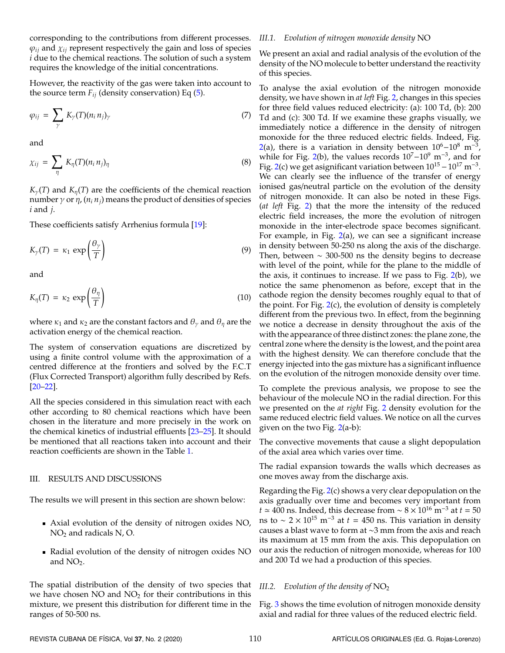corresponding to the contributions from different processes.  $\varphi_{ij}$  and  $\chi_{ij}$  represent respectively the gain and loss of species *i* due to the chemical reactions. The solution of such a system requires the knowledge of the initial concentrations.

However, the reactivity of the gas were taken into account to the source term  $F_{ij}$  (density conservation) Eq [\(5\)](#page-1-1).

$$
\varphi_{ij} = \sum_{\gamma} K_{\gamma}(T)(n_i n_j)_{\gamma} \tag{7}
$$

and

$$
\chi_{ij} = \sum_{\eta} K_{\eta}(T)(n_i n_j)_{\eta} \tag{8}
$$

 $K_{\gamma}(T)$  and  $K_{\eta}(T)$  are the coefficients of the chemical reaction number *γ* or *η*,  $(n<sub>i</sub> n<sub>j</sub>)$  means the product of densities of species *i* and *j*.

These coefficients satisfy Arrhenius formula [\[19\]](#page-6-16):

$$
K_{\gamma}(T) = \kappa_1 \exp\left(\frac{\theta_{\gamma}}{T}\right) \tag{9}
$$

and

$$
K_{\eta}(T) = \kappa_2 \, \exp\left(\frac{\theta_{\eta}}{T}\right) \tag{10}
$$

where  $\kappa_1$  and  $\kappa_2$  are the constant factors and  $\theta_\gamma$  and  $\theta_\eta$  are the activation energy of the chemical reaction.

The system of conservation equations are discretized by using a finite control volume with the approximation of a centred difference at the frontiers and solved by the F.C.T (Flux Corrected Transport) algorithm fully described by Refs. [\[20](#page-7-0)[–22\]](#page-7-1).

All the species considered in this simulation react with each other according to 80 chemical reactions which have been chosen in the literature and more precisely in the work on the chemical kinetics of industrial effluents [\[23](#page-7-2)[–25\]](#page-7-3). It should be mentioned that all reactions taken into account and their reaction coefficients are shown in the Table [1.](#page-6-17)

#### III. RESULTS AND DISCUSSIONS

The results we will present in this section are shown below:

- Axial evolution of the density of nitrogen oxides NO,  $NO<sub>2</sub>$  and radicals N, O.
- Radial evolution of the density of nitrogen oxides NO and NO<sub>2</sub>.

The spatial distribution of the density of two species that we have chosen  $NO$  and  $NO<sub>2</sub>$  for their contributions in this mixture, we present this distribution for different time in the ranges of 50-500 ns.

#### *III.1. Evolution of nitrogen monoxide density* NO

We present an axial and radial analysis of the evolution of the density of the NO molecule to better understand the reactivity of this species.

To analyse the axial evolution of the nitrogen monoxide density, we have shown in *at left* Fig. [2,](#page-3-0) changes in this species for three field values reduced electricity: (a): 100 Td, (b): 200 Td and (c): 300 Td. If we examine these graphs visually, we immediately notice a difference in the density of nitrogen monoxide for the three reduced electric fields. Indeed, Fig. [2\(](#page-3-0)a), there is a variation in density between  $10^6-10^8$  m<sup>-3</sup> , while for Fig. [2\(](#page-3-0)b), the values records  $10<sup>7</sup> - 10<sup>9</sup>$  m<sup>-3</sup>, and for Fig. [2\(](#page-3-0)c) we get asignificant variation between  $10^{15} - 10^{17}$  m<sup>-3</sup>. We can clearly see the influence of the transfer of energy ionised gas/neutral particle on the evolution of the density of nitrogen monoxide. It can also be noted in these Figs. (*at left* Fig. [2\)](#page-3-0) that the more the intensity of the reduced electric field increases, the more the evolution of nitrogen monoxide in the inter-electrode space becomes significant. For example, in Fig.  $2(a)$  $2(a)$ , we can see a significant increase in density between 50-250 ns along the axis of the discharge. Then, between ∼ 300-500 ns the density begins to decrease with level of the point, while for the plane to the middle of the axis, it continues to increase. If we pass to Fig. [2\(](#page-3-0)b), we notice the same phenomenon as before, except that in the cathode region the density becomes roughly equal to that of the point. For Fig.  $2(c)$  $2(c)$ , the evolution of density is completely different from the previous two. In effect, from the beginning we notice a decrease in density throughout the axis of the with the appearance of three distinct zones: the plane zone, the central zone where the density is the lowest, and the point area with the highest density. We can therefore conclude that the energy injected into the gas mixture has a significant influence on the evolution of the nitrogen monoxide density over time.

To complete the previous analysis, we propose to see the behaviour of the molecule NO in the radial direction. For this we presented on the *at right* Fig. [2](#page-3-0) density evolution for the same reduced electric field values. We notice on all the curves given on the two Fig. [2\(](#page-3-0)a-b):

The convective movements that cause a slight depopulation of the axial area which varies over time.

The radial expansion towards the walls which decreases as one moves away from the discharge axis.

Regarding the Fig. [2\(](#page-3-0)c) shows a very clear depopulation on the axis gradually over time and becomes very important from *t*  $\simeq$  400 ns. Indeed, this decrease from  $\sim$  8  $\times$  10<sup>16</sup> m<sup>-3</sup> at *t* = 50 ns to  $\sim 2 \times 10^{15}$  m<sup>-3</sup> at  $t = 450$  ns. This variation in density causes a blast wave to form at ∼3 mm from the axis and reach its maximum at 15 mm from the axis. This depopulation on our axis the reduction of nitrogen monoxide, whereas for 100 and 200 Td we had a production of this species.

### *III.2. Evolution of the density of* NO<sup>2</sup>

Fig. [3](#page-4-0) shows the time evolution of nitrogen monoxide density axial and radial for three values of the reduced electric field.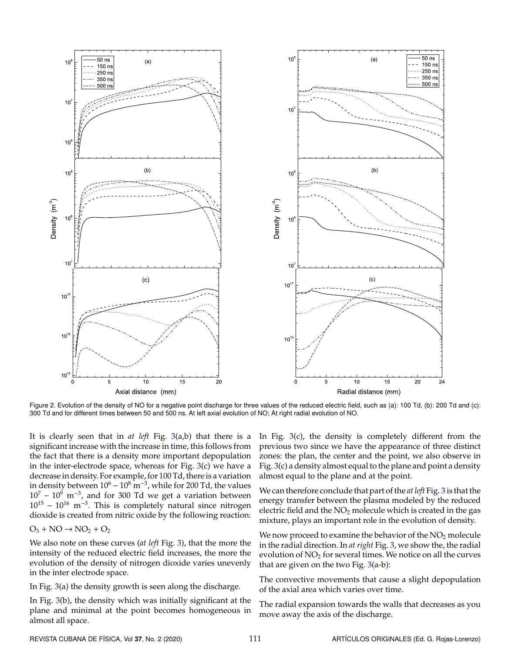<span id="page-3-0"></span>

Figure 2. Evolution of the density of NO for a negative point discharge for three values of the reduced electric field, such as (a): 100 Td, (b): 200 Td and (c): 300 Td and for different times between 50 and 500 ns. At left axial evolution of NO; At right radial evolution of NO.

It is clearly seen that in *at left* Fig. [3\(](#page-4-0)a,b) that there is a significant increase with the increase in time, this follows from the fact that there is a density more important depopulation in the inter-electrode space, whereas for Fig.  $3(c)$  $3(c)$  we have a decrease in density. For example, for 100 Td, there is a variation in density between  $10^6 - 10^8$  m<sup>-3</sup>, while for 200 Td, the values  $10^7 - 10^9$  m<sup>-3</sup>, and for 300 Td we get a variation between  $10^{15} - 10^{16}$  m<sup>-3</sup>. This is completely natural since nitrogen dioxide is created from nitric oxide by the following reaction:

 $O_3$  + NO  $\rightarrow$  NO<sub>2</sub> + O<sub>2</sub>

We also note on these curves (*at left* Fig. [3\)](#page-4-0), that the more the intensity of the reduced electric field increases, the more the evolution of the density of nitrogen dioxide varies unevenly in the inter electrode space.

In Fig. [3\(](#page-4-0)a) the density growth is seen along the discharge.

In Fig. [3\(](#page-4-0)b), the density which was initially significant at the plane and minimal at the point becomes homogeneous in almost all space.

In Fig.  $3(c)$  $3(c)$ , the density is completely different from the previous two since we have the appearance of three distinct zones: the plan, the center and the point, we also observe in Fig.  $3(c)$  $3(c)$  a density almost equal to the plane and point a density almost equal to the plane and at the point.

We can therefore conclude that part of the *at left* Fig. [3](#page-4-0) is that the energy transfer between the plasma modeled by the reduced electric field and the  $NO<sub>2</sub>$  molecule which is created in the gas mixture, plays an important role in the evolution of density.

We now proceed to examine the behavior of the  $NO<sub>2</sub>$  molecule in the radial direction. In *at right* Fig. [3,](#page-4-0) we show the, the radial evolution of  $NO<sub>2</sub>$  for several times. We notice on all the curves that are given on the two Fig.  $3(a-b)$  $3(a-b)$ :

The convective movements that cause a slight depopulation of the axial area which varies over time.

The radial expansion towards the walls that decreases as you move away the axis of the discharge.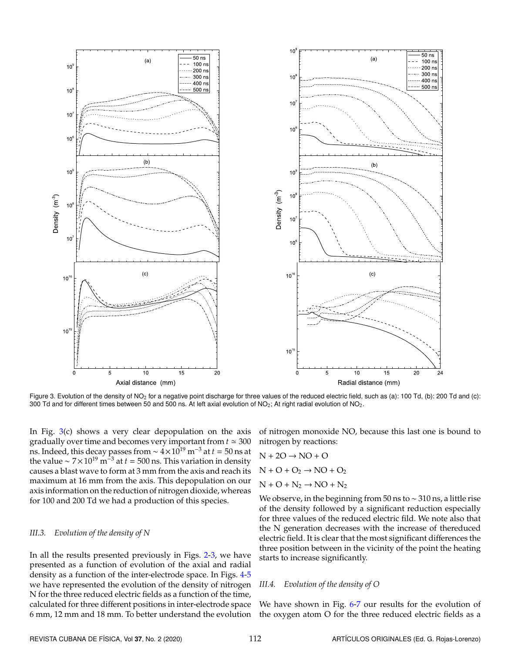<span id="page-4-0"></span>

Figure 3. Evolution of the density of NO<sub>2</sub> for a negative point discharge for three values of the reduced electric field, such as (a): 100 Td, (b): 200 Td and (c): 300 Td and for different times between 50 and 500 ns. At left axial evolution of NO<sub>2</sub>; At right radial evolution of NO<sub>2</sub>.

In Fig.  $3(c)$  $3(c)$  shows a very clear depopulation on the axis gradually over time and becomes very important from  $t \approx 300$ ns. Indeed, this decay passes from  $\sim 4 \times 10^{19}$  m<sup>-3</sup> at  $t = 50$  ns at the value ~  $7 \times 10^{19}$  m<sup>-3</sup> at  $t = 500$  ns. This variation in density causes a blast wave to form at 3 mm from the axis and reach its maximum at 16 mm from the axis. This depopulation on our axis information on the reduction of nitrogen dioxide, whereas for 100 and 200 Td we had a production of this species.

#### *III.3. Evolution of the density of N*

In all the results presented previously in Figs. [2](#page-3-0)[-3,](#page-4-0) we have presented as a function of evolution of the axial and radial density as a function of the inter-electrode space. In Figs. [4-](#page-5-0)[5](#page-5-1) we have represented the evolution of the density of nitrogen N for the three reduced electric fields as a function of the time, calculated for three different positions in inter-electrode space 6 mm, 12 mm and 18 mm. To better understand the evolution

of nitrogen monoxide NO, because this last one is bound to nitrogen by reactions:

$$
N + 2O \rightarrow NO + O
$$
  

$$
N + O + O_2 \rightarrow NO + O_2
$$
  

$$
N + O + N_2 \rightarrow NO + N_2
$$

We observe, in the beginning from 50 ns to ∼ 310 ns, a little rise of the density followed by a significant reduction especially for three values of the reduced electric fild. We note also that the N generation decreases with the increase of thereduced electric field. It is clear that the most significant differences the three position between in the vicinity of the point the heating starts to increase significantly.

#### *III.4. Evolution of the density of O*

We have shown in Fig. [6](#page-5-2)[-7](#page-5-3) our results for the evolution of the oxygen atom O for the three reduced electric fields as a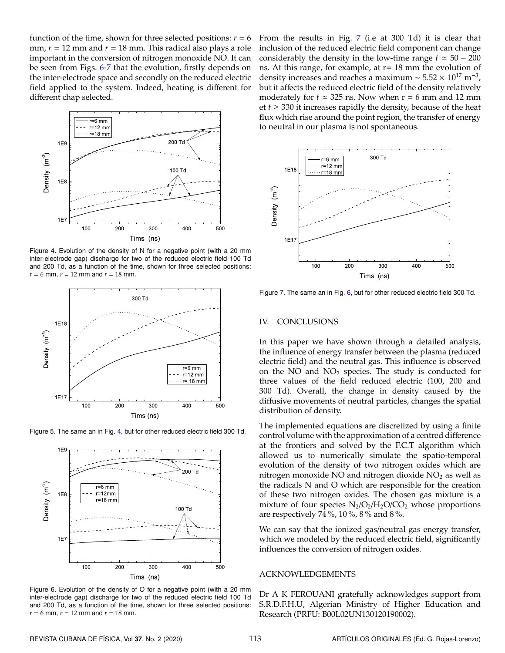function of the time, shown for three selected positions:  $r = 6$ mm,  $r = 12$  mm and  $r = 18$  mm. This radical also plays a role important in the conversion of nitrogen monoxide NO. It can be seen from Figs. [6](#page-5-2)[-7](#page-5-3) that the evolution, firstly depends on the inter-electrode space and secondly on the reduced electric field applied to the system. Indeed, heating is different for different chap selected.

<span id="page-5-0"></span>

Figure 4. Evolution of the density of N for a negative point (with a 20 mm inter-electrode gap) discharge for two of the reduced electric field 100 Td and 200 Td, as a function of the time, shown for three selected positions:  $r = 6$  mm,  $r = 12$  mm and  $r = 18$  mm.

<span id="page-5-1"></span>

<span id="page-5-2"></span>Figure 5. The same an in Fig. [4,](#page-5-0) but for other reduced electric field 300 Td.



Figure 6. Evolution of the density of O for a negative point (with a 20 mm inter-electrode gap) discharge for two of the reduced electric field 100 Td and 200 Td, as a function of the time, shown for three selected positions:  $r = 6$  mm,  $r = 12$  mm and  $r = 18$  mm.

From the results in Fig. [7](#page-5-3) (i.e at 300 Td) it is clear that inclusion of the reduced electric field component can change considerably the density in the low-time range  $t \approx 50 - 200$ ns. At this range, for example, at  $r = 18$  mm the evolution of density increases and reaches a maximum ~  $5.52 \times 10^{17}$  m<sup>-3</sup>, but it affects the reduced electric field of the density relatively moderately for  $t \approx 325$  ns. Now when  $r = 6$  mm and 12 mm et  $t \geq 330$  it increases rapidly the density, because of the heat flux which rise around the point region, the transfer of energy to neutral in our plasma is not spontaneous.

<span id="page-5-3"></span>

Figure 7. The same an in Fig. [6,](#page-5-2) but for other reduced electric field 300 Td.

#### IV. CONCLUSIONS

In this paper we have shown through a detailed analysis, the influence of energy transfer between the plasma (reduced electric field) and the neutral gas. This influence is observed on the NO and  $NO<sub>2</sub>$  species. The study is conducted for three values of the field reduced electric (100, 200 and 300 Td). Overall, the change in density caused by the diffusive movements of neutral particles, changes the spatial distribution of density.

The implemented equations are discretized by using a finite control volume with the approximation of a centred difference at the frontiers and solved by the F.C.T algorithm which allowed us to numerically simulate the spatio-temporal evolution of the density of two nitrogen oxides which are nitrogen monoxide NO and nitrogen dioxide  $NO<sub>2</sub>$  as well as the radicals N and O which are responsible for the creation of these two nitrogen oxides. The chosen gas mixture is a mixture of four species  $N_2/O_2/H_2O/CO_2$  whose proportions are respectively 74 %, 10 %, 8 % and 8 %.

We can say that the ionized gas/neutral gas energy transfer, which we modeled by the reduced electric field, significantly influences the conversion of nitrogen oxides.

#### ACKNOWLEDGEMENTS

Dr A K FEROUANI gratefully acknowledges support from S.R.D.F.H.U, Algerian Ministry of Higher Education and Research (PRFU: B00L02UN130120190002).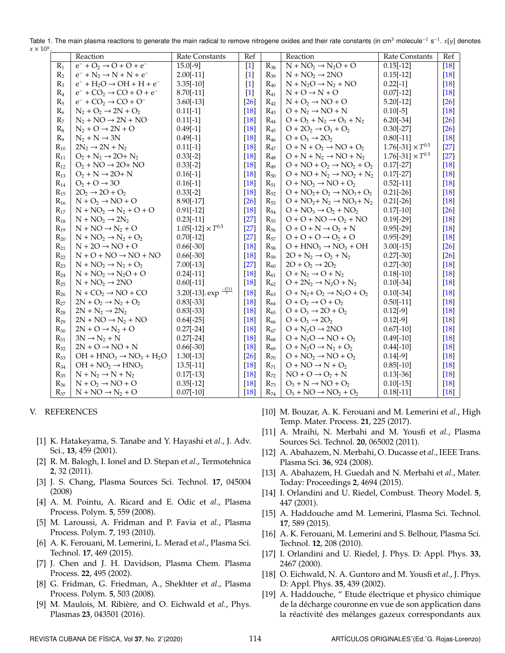|                | Reaction                                              | <b>Rate Constants</b>               | Ref                |          | Reaction                               | <b>Rate Constants</b>      | Ref                |
|----------------|-------------------------------------------------------|-------------------------------------|--------------------|----------|----------------------------------------|----------------------------|--------------------|
| $R_1$          | $e^- + O_2 \rightarrow O + O + e^-$                   | $15.0[-9]$                          | $[1]$              | $R_{38}$ | $N + NO2 \rightarrow N2O + O$          | $0.15[-12]$                | $[18]$             |
| R <sub>2</sub> | $e^- + N_2 \rightarrow N + N + e^-$                   | $2.00[-11]$                         | $[1]$              | $R_{39}$ | $N + NO2 \rightarrow 2NO$              | $0.15[-12]$                | $\lceil 18 \rceil$ |
| $R_3$          | $e^-$ + H <sub>2</sub> O $\rightarrow$ OH + H + $e^-$ | $3.35[-10]$                         | $[1]$              | $R_{40}$ | $N + N_2O \rightarrow N_2 + NO$        | $0.22[-1]$                 | [18]               |
| $R_4$          | $e^-$ + CO <sub>2</sub> $\rightarrow$ CO + O + $e^-$  | $8.70[-11]$                         | $[1]$              | $R_{41}$ | $N + O \rightarrow N + O$              | $0.07[-12]$                | [18]               |
| $R_5$          | $e^-$ + $CO_2 \rightarrow CO + O^-$                   | $3.60[-13]$                         | $[26]$             | $R_{42}$ | $N + O_2 \rightarrow NO + O$           | $5.20[-12]$                | [26]               |
| $R_6$          | $N_2 + O_2 \rightarrow 2N + O_2$                      | $0.11[-1]$                          | $[18]$             | $R_{43}$ | $O + N_2 \rightarrow NO + N$           | $0.10[-5]$                 | [18]               |
| R <sub>7</sub> | $N_2 + NO \rightarrow 2N + NO$                        | $0.11[-1]$                          | $\lceil 18 \rceil$ | $R_{44}$ | $O + O2 + N2 \rightarrow O3 + N2$      | $6.20[-34]$                | [26]               |
| $R_8$          | $N_2 + O \rightarrow 2N + O$                          | $0.49[-1]$                          | $[18]$             | $R_{45}$ | $O + 2O2 \rightarrow O3 + O2$          | $0.30[-27]$                | [26]               |
| R <sub>9</sub> | $N_2 + N \rightarrow 3N$                              | $0.49[-1]$                          | $[18]$             | $R_{46}$ | $O + O_3 \rightarrow 2O_2$             | $0.80[-11]$                | $[18]$             |
| $R_{10}$       | $2N_2 \rightarrow 2N + N_2$                           | $0.11[-1]$                          | $[18]$             | $R_{47}$ | $O + N + O_2 \rightarrow NO + O_2$     | $1.76[-31] \times T^{0.5}$ | $[27]$             |
| $R_{11}$       | $O_2 + N_2 \rightarrow 2O + N_2$                      | $0.33[-2]$                          | $[18]$             | $R_{48}$ | $O + N + N_2 \rightarrow NO + N_2$     | $1.76[-31] \times T^{0.5}$ | [27]               |
| $R_{12}$       | $O_2 + NO \rightarrow 2O + NO$                        | $0.33[-2]$                          | $[18]$             | $R_{49}$ | $O + NO + O_2 \rightarrow NO_2 + O_2$  | $0.17[-27]$                | [18]               |
| $R_{13}$       | $O_2 + N \rightarrow 2O + N$                          | $0.16[-1]$                          | $[18]$             | $R_{50}$ | $O + NO + N_2 \rightarrow NO_2 + N_2$  | $0.17[-27]$                | [18]               |
| $R_{14}$       | $O2 + O \rightarrow 3O$                               | $0.16[-1]$                          | $[18]$             | $R_{51}$ | $O + NO2 \rightarrow NO + O2$          | $0.52[-11]$                | [18]               |
| $R_{15}$       | $2O2 \rightarrow 2O + O2$                             | $0.33[-2]$                          | $[18]$             | $R_{52}$ | $O + NO2 + O2 \rightarrow NO3 + O2$    | $0.21[-26]$                | $\lceil 18 \rceil$ |
| $R_{16}$       | $N + O_2 \rightarrow NO + O$                          | 8.90[-17]                           | $[26]$             | $R_{53}$ | $O + NO2 + N2 \rightarrow NO3 + N2$    | $0.21[-26]$                | [18]               |
| $R_{17}$       | $N + NO2 \rightarrow N2 + O + O$                      | $0.91[-12]$                         | $[18]$             | $R_{54}$ | $O + NO3 \rightarrow O2 + NO2$         | $0.17[-10]$                | [26]               |
| $R_{18}$       | $N + NO_2 \rightarrow 2N_2$                           | $0.23[-11]$                         | $[27]$             | $R_{55}$ | $O + O + NO \rightarrow O_2 + NO$      | $0.19[-29]$                | [18]               |
| $R_{19}$       | $N + NO \rightarrow N_2 + O$                          | $1.05[-12] \times T^{0.5}$          | $[27]$             | $R_{56}$ | $O + O + N \rightarrow O_2 + N$        | $0.95[-29]$                | [18]               |
| $R_{20}$       | $N + NO_2 \rightarrow N_2 + O_2$                      | $0.70[-12]$                         | $[27]$             | $R_{57}$ | $O + O + O \rightarrow O_2 + O$        | $0.95[-29]$                | [18]               |
| $R_{21}$       | $N + 2O \rightarrow NO + O$                           | $0.66[-30]$                         | $[18]$             | $R_{58}$ | $O + HNO3 \rightarrow NO3 + OH$        | $3.00[-15]$                | [26]               |
| $R_{22}$       | $N + O + NO \rightarrow NO + NO$                      | $0.66[-30]$                         | $[18]$             | $R_{59}$ | $2O + N_2 \rightarrow O_2 + N_2$       | $0.27[-30]$                | [26]               |
| $R_{23}$       | $N + NO2 \rightarrow N2 + O2$                         | $7.00[-13]$                         | $[27]$             | $R_{60}$ | $2O + O_2 \rightarrow 2O_2$            | $0.27[-30]$                | [18]               |
| $R_{24}$       | $N + NO2 \rightarrow N2O + O$                         | $0.24[-11]$                         | $[18]$             | $R_{61}$ | $O + N_2 \rightarrow O + N_2$          | $0.18[-10]$                | [18]               |
| $R_{25}$       | $N + NO_2 \rightarrow 2NO$                            | $0.60[-11]$                         | $[18]$             | $R_{62}$ | $O + 2N_2 \rightarrow N_2O + N_2$      | $0.10[-34]$                | [18]               |
| $R_{26}$       | $N + CO2 \rightarrow NO + CO$                         | 3.20[-13]. $\exp^{\frac{-1711}{T}}$ | $[18]$             | $R_{63}$ | $O + N_2 + O_2 \rightarrow N_2O + O_2$ | $0.10[-34]$                | $[18]$             |
| $R_{27}$       | $2N + O_2 \rightarrow N_2 + O_2$                      | $0.83[-33]$                         | $[18]$             | $R_{64}$ | $O + O_2 \rightarrow O + O_2$          | $0.50[-11]$                | [18]               |
| $R_{28}$       | $2N + N_2 \rightarrow 2N_2$                           | $0.83[-33]$                         | $[18]$             | $R_{65}$ | $O + O_3 \rightarrow 2O + O_2$         | $0.12[-9]$                 | [18]               |
| $R_{29}$       | $2N + NO \rightarrow N_2 + NO$                        | $0.64[-25]$                         | $[18]$             | $R_{66}$ | $O + O_3 \rightarrow 2O_2$             | $0.12[-9]$                 | [18]               |
| $R_{30}$       | $2N + O \rightarrow N_2 + O$                          | $0.27[-24]$                         | $[18]$             | $R_{67}$ | $O + N2O \rightarrow 2NO$              | $0.67[-10]$                | [18]               |
| $R_{31}$       | $3N \rightarrow N_2 + N$                              | $0.27[-24]$                         | $[18]$             | $R_{68}$ | $O + N2O \rightarrow NO + O2$          | $0.49[-10]$                | [18]               |
| $R_{32}$       | $2N + O \rightarrow NO + N$                           | $0.66[-30]$                         | $\lceil 18 \rceil$ | $R_{69}$ | $O + N2O \rightarrow N2 + O2$          | $0.44[-10]$                | [18]               |
| $R_{33}$       | $OH + HNO3 \rightarrow NO3 + H2O$                     | $1.30[-13]$                         | $[26]$             | $R_{70}$ | $O + NO2 \rightarrow NO + O2$          | $0.14[-9]$                 | [18]               |
| $R_{34}$       | $OH + NO2 \rightarrow HNO3$                           | $13.5[-11]$                         | $[18]$             | $R_{71}$ | $O + NO \rightarrow N + O_2$           | $0.85[-10]$                | [18]               |
| $R_{35}$       | $N + N_2 \rightarrow N + N_2$                         | $0.17[-13]$                         | $[18]$             | $R_{72}$ | $NO + O \rightarrow O_2 + N$           | $0.13[-36]$                | [18]               |
| $R_{36}$       | $N + O_2 \rightarrow NO + O$                          | $0.35[-12]$                         | $[18]$             | $R_{73}$ | $O_3 + N \rightarrow NO + O_2$         | $0.10[-15]$                | $[18]$             |
| $R_{37}$       | $N + NO \rightarrow N_2 + O$                          | $0.07[-10]$                         | $[18]$             | $R_{74}$ | $O_3 + NO \rightarrow NO_2 + O_2$      | $0.18[-11]$                | $\lceil 18 \rceil$ |

<span id="page-6-17"></span>Table 1. The main plasma reactions to generate the main radical to remove nitrogene oxides and their rate constants (in cm<sup>3</sup> molecule<sup>-1</sup> s<sup>-1</sup>. *x*[*y*] denotes *x* >

#### V. REFERENCES

- <span id="page-6-0"></span>[1] K. Hatakeyama, S. Tanabe and Y. Hayashi et *al.*, J. Adv. Sci., **13**, 459 (2001).
- <span id="page-6-1"></span>[2] R. M. Balogh, I. Ionel and D. Stepan et *al.*, Termotehnica **2**, 32 (2011).
- <span id="page-6-2"></span>[3] J. S. Chang, Plasma Sources Sci. Technol. **17**, 045004 (2008)
- <span id="page-6-3"></span>[4] A. M. Pointu, A. Ricard and E. Odic et *al.*, Plasma Process. Polym. **5**, 559 (2008).
- [5] M. Laroussi, A. Fridman and P. Favia et *al.*, Plasma Process. Polym. **7**, 193 (2010).
- <span id="page-6-4"></span>[6] A. K. Ferouani, M. Lemerini, L. Merad et *al.*, Plasma Sci. Technol. **17**, 469 (2015).
- <span id="page-6-5"></span>[7] J. Chen and J. H. Davidson, Plasma Chem. Plasma Process. **22**, 495 (2002).
- <span id="page-6-6"></span>[8] G. Fridman, G. Friedman, A., Shekhter et *al.*, Plasma Process. Polym. **5**, 503 (2008).
- <span id="page-6-7"></span>[9] M. Maulois, M. Ribiere, and O. Eichwald et ` *al.*, Phys. Plasmas **23**, 043501 (2016).
- <span id="page-6-8"></span>[10] M. Bouzar, A. K. Ferouani and M. Lemerini et *al.*, High Temp. Mater. Process. **21**, 225 (2017).
- <span id="page-6-9"></span>[11] A. Mraihi, N. Merbahi and M. Yousfi et *al.*, Plasma Sources Sci. Technol. **20**, 065002 (2011).
- [12] A. Abahazem, N. Merbahi, O. Ducasse et *al.*, IEEE Trans. Plasma Sci. **36**, 924 (2008).
- <span id="page-6-10"></span>[13] A. Abahazem, H. Guedah and N. Merbahi et *al.*, Mater. Today: Proceedings **2**, 4694 (2015).
- <span id="page-6-11"></span>[14] I. Orlandini and U. Riedel, Combust. Theory Model. **5**, 447 (2001).
- <span id="page-6-12"></span>[15] A. Haddouche amd M. Lemerini, Plasma Sci. Technol. **17**, 589 (2015).
- <span id="page-6-13"></span>[16] A. K. Ferouani, M. Lemerini and S. Belhour, Plasma Sci. Technol. **12**, 208 (2010).
- <span id="page-6-14"></span>[17] I. Orlandini and U. Riedel, J. Phys. D: Appl. Phys. **33**, 2467 (2000).
- <span id="page-6-15"></span>[18] O. Eichwald, N. A. Guntoro and M. Yousfi et *al.*, J. Phys. D: Appl. Phys. **35**, 439 (2002).
- <span id="page-6-16"></span>[19] A. Haddouche, " Etude électrique et physico chimique de la decharge couronne en vue de son application dans ´ la réactivité des mélanges gazeux correspondants aux